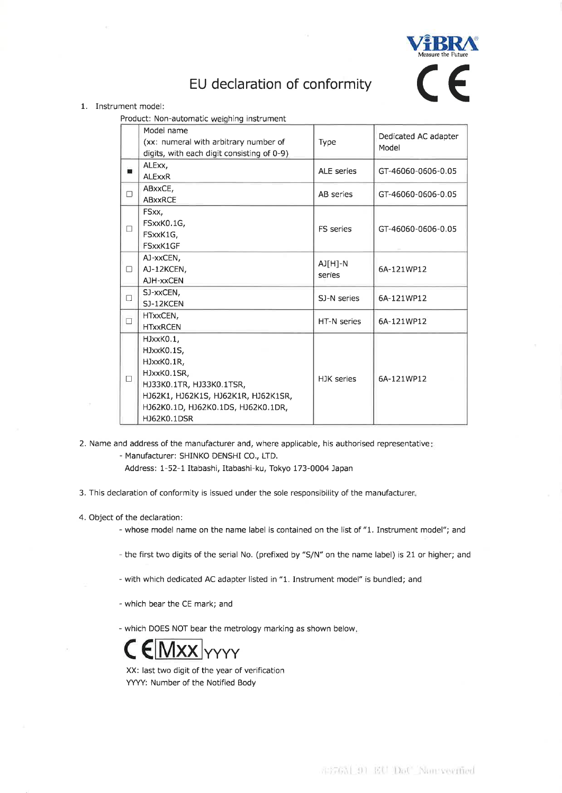

## EU declaration of conformity

## 1. Instrument model:

Product: Non-automatic weighing instrument

|        | Model name                                 |                   |                               |
|--------|--------------------------------------------|-------------------|-------------------------------|
|        | (xx: numeral with arbitrary number of      | Type              | Dedicated AC adapter<br>Model |
|        | digits, with each digit consisting of 0-9) |                   |                               |
| 靇      | ALExx,                                     | <b>ALE</b> series | GT-46060-0606-0.05            |
|        | <b>ALExxR</b>                              |                   |                               |
| $\Box$ | ABxxCE,                                    | AB series         | GT-46060-0606-0.05            |
|        | <b>ABxxRCE</b>                             |                   |                               |
| П      | FSxx,                                      | FS series         | GT-46060-0606-0.05            |
|        | FSxxK0.1G,                                 |                   |                               |
|        | FSxxK1G,                                   |                   |                               |
|        | FSxxK1GF                                   |                   |                               |
| П.     | AJ-xxCEN,                                  | AJ[H]-N<br>series | 6A-121WP12                    |
|        | AJ-12KCEN,                                 |                   |                               |
|        | AJH-xxCEN                                  |                   |                               |
| $\Box$ | SJ-xxCEN,                                  | SJ-N series       | 6A-121WP12                    |
|        | SJ-12KCEN                                  |                   |                               |
| $\Box$ | HTxxCEN,                                   | HT-N series       | 6A-121WP12                    |
|        | <b>HTxxRCEN</b>                            |                   |                               |
| $\Box$ | HJxxK0.1,                                  | HJK series        | 6A-121WP12                    |
|        | HJxxK0.1S,                                 |                   |                               |
|        | HJxxK0.1R,                                 |                   |                               |
|        | HJxxK0.1SR,                                |                   |                               |
|        | HJ33K0.1TR, HJ33K0.1TSR,                   |                   |                               |
|        | HJ62K1, HJ62K1S, HJ62K1R, HJ62K1SR,        |                   |                               |
|        | HJ62K0.1D, HJ62K0.1DS, HJ62K0.1DR,         |                   |                               |
|        | HJ62K0.1DSR                                |                   |                               |

2. Name and address of the manufacturer and, where applicable, his authorised representative:

- Manufacturer: SHINKO DENSHI CO., LTD.

Address: 1-52-1 Itabashi, Itabashi-ku, Tokyo 173-0004 Japan

- 3. This declaration of conformity is issued under the sole responsibility of the manufacturer.
- 4. Object of the declaration:
	- whose model name on the name label is contained on the list of "1. Instrument model"; and
	- the first two digits of the serial No. (prefixed by "S/N" on the name label) is 21 or higher; and
	- with which dedicated AC adapter listed in "1. Instrument model" is bundled; and
	- which bear the CE mark; and

- which DOES NOT bear the metrology marking as shown below.



XX: last two digit of the year of verification YYYY: Number of the Notified Body

4376M 91 EU DoU Nonreenfied